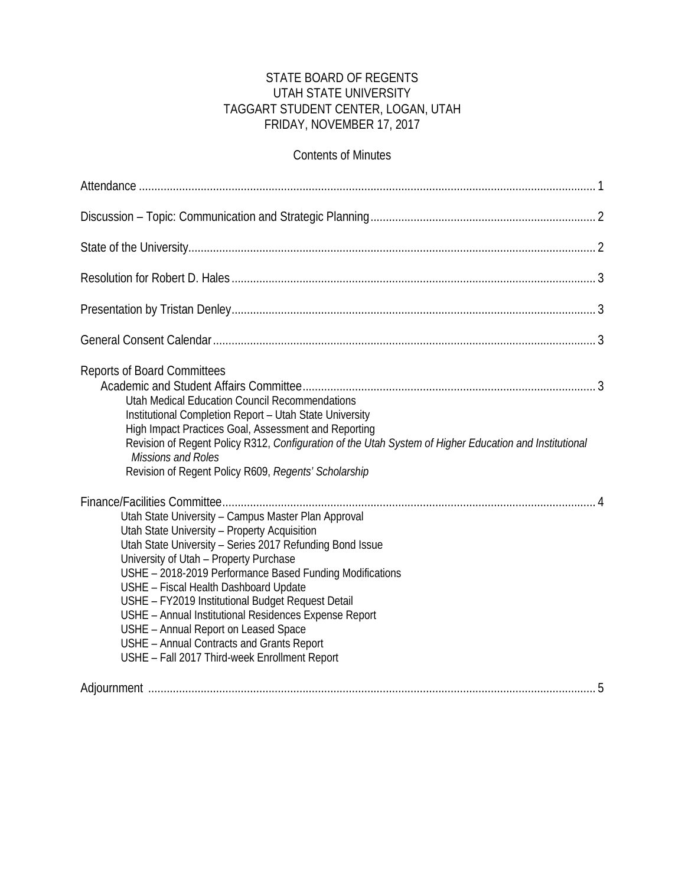### STATE BOARD OF REGENTS UTAH STATE UNIVERSITY TAGGART STUDENT CENTER, LOGAN, UTAH FRIDAY, NOVEMBER 17, 2017

### Contents of Minutes

| <b>Reports of Board Committees</b><br>Utah Medical Education Council Recommendations<br>Institutional Completion Report - Utah State University<br>High Impact Practices Goal, Assessment and Reporting<br>Revision of Regent Policy R312, Configuration of the Utah System of Higher Education and Institutional<br>Missions and Roles<br>Revision of Regent Policy R609, Regents' Scholarship                                                                                                                                                                    |
|--------------------------------------------------------------------------------------------------------------------------------------------------------------------------------------------------------------------------------------------------------------------------------------------------------------------------------------------------------------------------------------------------------------------------------------------------------------------------------------------------------------------------------------------------------------------|
| Utah State University - Campus Master Plan Approval<br>Utah State University - Property Acquisition<br>Utah State University - Series 2017 Refunding Bond Issue<br>University of Utah - Property Purchase<br>USHE - 2018-2019 Performance Based Funding Modifications<br>USHE - Fiscal Health Dashboard Update<br>USHE - FY2019 Institutional Budget Request Detail<br>USHE - Annual Institutional Residences Expense Report<br>USHE - Annual Report on Leased Space<br>USHE - Annual Contracts and Grants Report<br>USHE - Fall 2017 Third-week Enrollment Report |
|                                                                                                                                                                                                                                                                                                                                                                                                                                                                                                                                                                    |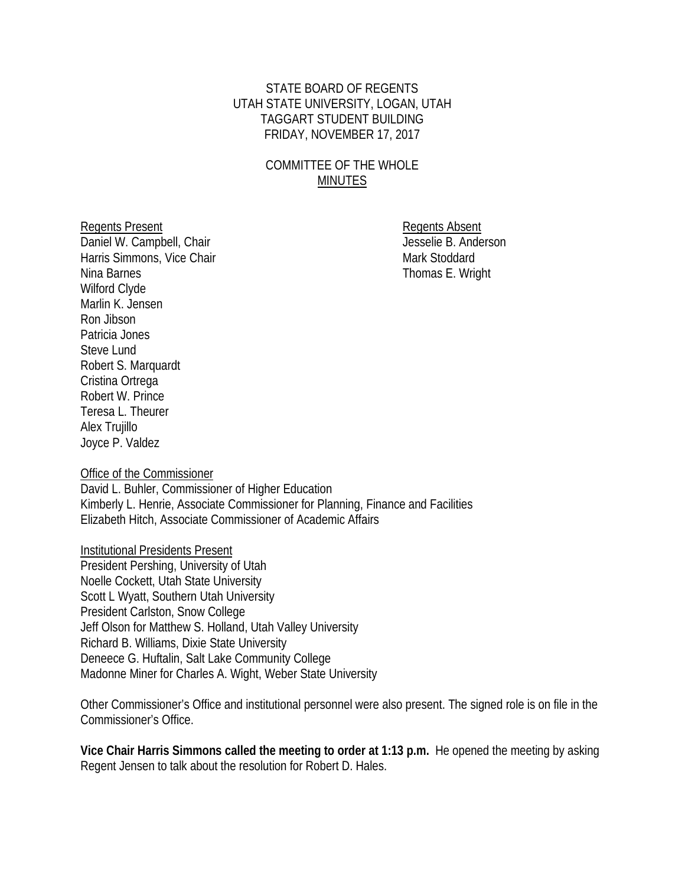### STATE BOARD OF REGENTS UTAH STATE UNIVERSITY, LOGAN, UTAH TAGGART STUDENT BUILDING FRIDAY, NOVEMBER 17, 2017

## COMMITTEE OF THE WHOLE MINUTES

Daniel W. Campbell, Chair Harris Simmons, Vice Chair Mark Stoddard Mark Stoddard Nina Barnes **Thomas E.** Wright Wilford Clyde Marlin K. Jensen Ron Jibson Patricia Jones Steve Lund Robert S. Marquardt Cristina Ortrega Robert W. Prince Teresa L. Theurer Alex Trujillo Joyce P. Valdez

Regents Present<br>
Daniel W. Campbell, Chair<br>
Daniel W. Campbell, Chair

Office of the Commissioner

David L. Buhler, Commissioner of Higher Education Kimberly L. Henrie, Associate Commissioner for Planning, Finance and Facilities Elizabeth Hitch, Associate Commissioner of Academic Affairs

#### Institutional Presidents Present

President Pershing, University of Utah Noelle Cockett, Utah State University Scott L Wyatt, Southern Utah University President Carlston, Snow College Jeff Olson for Matthew S. Holland, Utah Valley University Richard B. Williams, Dixie State University Deneece G. Huftalin, Salt Lake Community College Madonne Miner for Charles A. Wight, Weber State University

Other Commissioner's Office and institutional personnel were also present. The signed role is on file in the Commissioner's Office.

**Vice Chair Harris Simmons called the meeting to order at 1:13 p.m.** He opened the meeting by asking Regent Jensen to talk about the resolution for Robert D. Hales.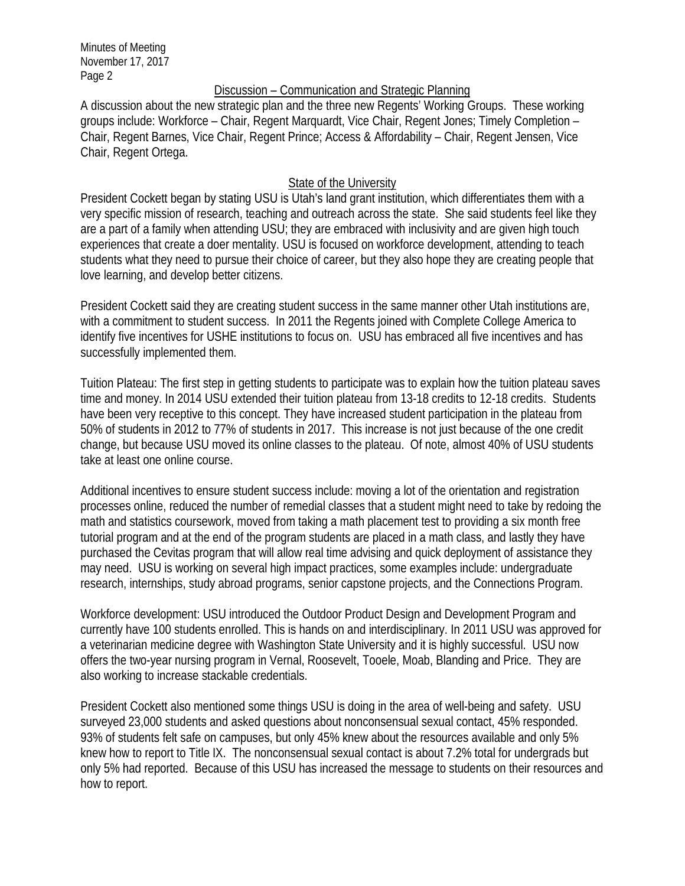#### Discussion – Communication and Strategic Planning

A discussion about the new strategic plan and the three new Regents' Working Groups. These working groups include: Workforce – Chair, Regent Marquardt, Vice Chair, Regent Jones; Timely Completion – Chair, Regent Barnes, Vice Chair, Regent Prince; Access & Affordability – Chair, Regent Jensen, Vice Chair, Regent Ortega.

#### State of the University

President Cockett began by stating USU is Utah's land grant institution, which differentiates them with a very specific mission of research, teaching and outreach across the state. She said students feel like they are a part of a family when attending USU; they are embraced with inclusivity and are given high touch experiences that create a doer mentality. USU is focused on workforce development, attending to teach students what they need to pursue their choice of career, but they also hope they are creating people that love learning, and develop better citizens.

President Cockett said they are creating student success in the same manner other Utah institutions are, with a commitment to student success. In 2011 the Regents joined with Complete College America to identify five incentives for USHE institutions to focus on. USU has embraced all five incentives and has successfully implemented them.

Tuition Plateau: The first step in getting students to participate was to explain how the tuition plateau saves time and money. In 2014 USU extended their tuition plateau from 13-18 credits to 12-18 credits. Students have been very receptive to this concept. They have increased student participation in the plateau from 50% of students in 2012 to 77% of students in 2017. This increase is not just because of the one credit change, but because USU moved its online classes to the plateau. Of note, almost 40% of USU students take at least one online course.

Additional incentives to ensure student success include: moving a lot of the orientation and registration processes online, reduced the number of remedial classes that a student might need to take by redoing the math and statistics coursework, moved from taking a math placement test to providing a six month free tutorial program and at the end of the program students are placed in a math class, and lastly they have purchased the Cevitas program that will allow real time advising and quick deployment of assistance they may need. USU is working on several high impact practices, some examples include: undergraduate research, internships, study abroad programs, senior capstone projects, and the Connections Program.

Workforce development: USU introduced the Outdoor Product Design and Development Program and currently have 100 students enrolled. This is hands on and interdisciplinary. In 2011 USU was approved for a veterinarian medicine degree with Washington State University and it is highly successful. USU now offers the two-year nursing program in Vernal, Roosevelt, Tooele, Moab, Blanding and Price. They are also working to increase stackable credentials.

President Cockett also mentioned some things USU is doing in the area of well-being and safety. USU surveyed 23,000 students and asked questions about nonconsensual sexual contact, 45% responded. 93% of students felt safe on campuses, but only 45% knew about the resources available and only 5% knew how to report to Title IX. The nonconsensual sexual contact is about 7.2% total for undergrads but only 5% had reported. Because of this USU has increased the message to students on their resources and how to report.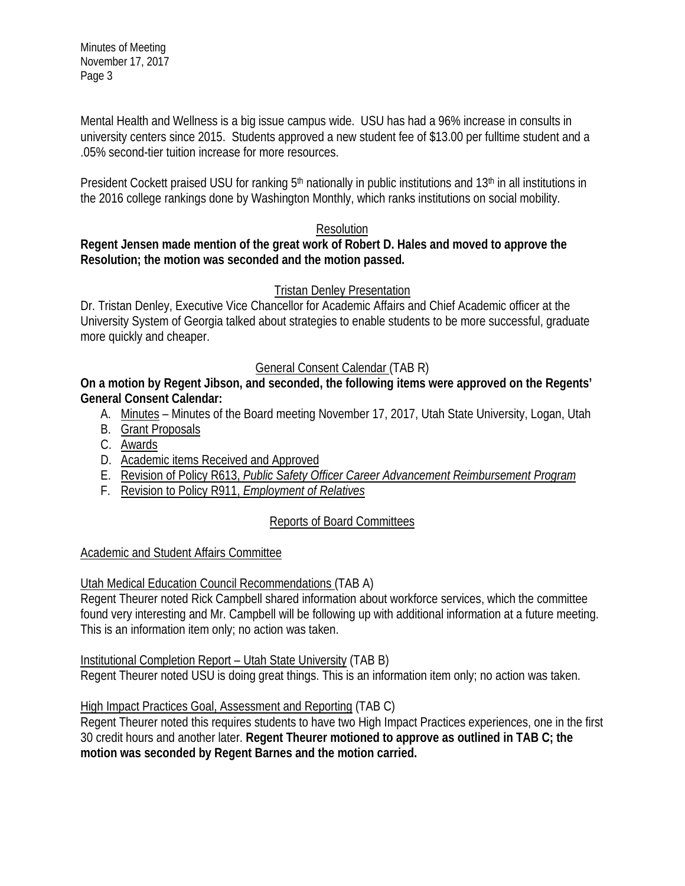Mental Health and Wellness is a big issue campus wide. USU has had a 96% increase in consults in university centers since 2015. Students approved a new student fee of \$13.00 per fulltime student and a .05% second-tier tuition increase for more resources.

President Cockett praised USU for ranking 5<sup>th</sup> nationally in public institutions and 13<sup>th</sup> in all institutions in the 2016 college rankings done by Washington Monthly, which ranks institutions on social mobility.

### Resolution

### **Regent Jensen made mention of the great work of Robert D. Hales and moved to approve the Resolution; the motion was seconded and the motion passed.**

# Tristan Denley Presentation

Dr. Tristan Denley, Executive Vice Chancellor for Academic Affairs and Chief Academic officer at the University System of Georgia talked about strategies to enable students to be more successful, graduate more quickly and cheaper.

# General Consent Calendar (TAB R)

**On a motion by Regent Jibson, and seconded, the following items were approved on the Regents' General Consent Calendar:**

- A. Minutes Minutes of the Board meeting November 17, 2017, Utah State University, Logan, Utah
- B. Grant Proposals
- C. Awards
- D. Academic items Received and Approved
- E. Revision of Policy R613, *Public Safety Officer Career Advancement Reimbursement Program*
- F. Revision to Policy R911, *Employment of Relatives*

# Reports of Board Committees

### Academic and Student Affairs Committee

# Utah Medical Education Council Recommendations (TAB A)

Regent Theurer noted Rick Campbell shared information about workforce services, which the committee found very interesting and Mr. Campbell will be following up with additional information at a future meeting. This is an information item only; no action was taken.

Institutional Completion Report – Utah State University (TAB B)

Regent Theurer noted USU is doing great things. This is an information item only; no action was taken.

# High Impact Practices Goal, Assessment and Reporting (TAB C)

Regent Theurer noted this requires students to have two High Impact Practices experiences, one in the first 30 credit hours and another later. **Regent Theurer motioned to approve as outlined in TAB C; the motion was seconded by Regent Barnes and the motion carried.**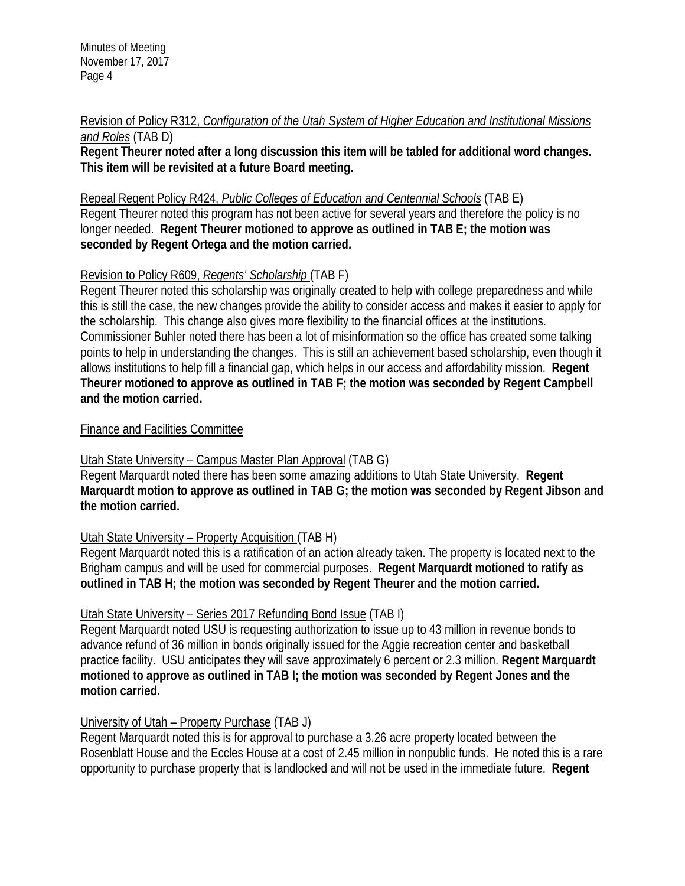Revision of Policy R312, *Configuration of the Utah System of Higher Education and Institutional Missions and Roles* (TAB D)

**Regent Theurer noted after a long discussion this item will be tabled for additional word changes. This item will be revisited at a future Board meeting.** 

Repeal Regent Policy R424, *Public Colleges of Education and Centennial Schools* (TAB E) Regent Theurer noted this program has not been active for several years and therefore the policy is no longer needed. **Regent Theurer motioned to approve as outlined in TAB E; the motion was seconded by Regent Ortega and the motion carried.** 

### Revision to Policy R609, *Regents' Scholarship* (TAB F)

Regent Theurer noted this scholarship was originally created to help with college preparedness and while this is still the case, the new changes provide the ability to consider access and makes it easier to apply for the scholarship. This change also gives more flexibility to the financial offices at the institutions. Commissioner Buhler noted there has been a lot of misinformation so the office has created some talking points to help in understanding the changes. This is still an achievement based scholarship, even though it allows institutions to help fill a financial gap, which helps in our access and affordability mission. **Regent Theurer motioned to approve as outlined in TAB F; the motion was seconded by Regent Campbell and the motion carried.** 

#### Finance and Facilities Committee

### Utah State University – Campus Master Plan Approval (TAB G)

Regent Marquardt noted there has been some amazing additions to Utah State University. **Regent Marquardt motion to approve as outlined in TAB G; the motion was seconded by Regent Jibson and the motion carried.**

### Utah State University – Property Acquisition (TAB H)

Regent Marquardt noted this is a ratification of an action already taken. The property is located next to the Brigham campus and will be used for commercial purposes. **Regent Marquardt motioned to ratify as outlined in TAB H; the motion was seconded by Regent Theurer and the motion carried.** 

### Utah State University – Series 2017 Refunding Bond Issue (TAB I)

Regent Marquardt noted USU is requesting authorization to issue up to 43 million in revenue bonds to advance refund of 36 million in bonds originally issued for the Aggie recreation center and basketball practice facility. USU anticipates they will save approximately 6 percent or 2.3 million. **Regent Marquardt motioned to approve as outlined in TAB I; the motion was seconded by Regent Jones and the motion carried.**

### University of Utah – Property Purchase (TAB J)

Regent Marquardt noted this is for approval to purchase a 3.26 acre property located between the Rosenblatt House and the Eccles House at a cost of 2.45 million in nonpublic funds. He noted this is a rare opportunity to purchase property that is landlocked and will not be used in the immediate future. **Regent**